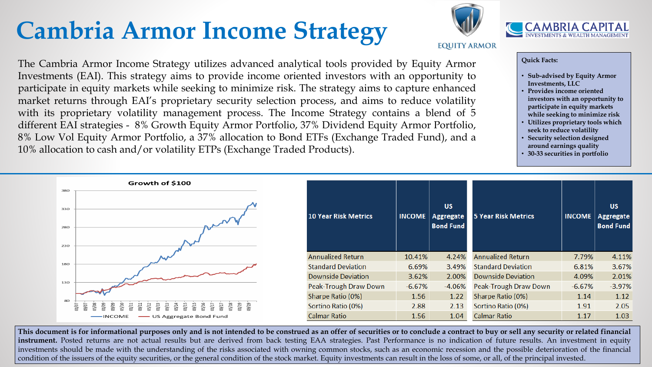# **Cambria Armor Income Strategy**

The Cambria Armor Income Strategy utilizes advanced analytical tools provided by Equity Armor Investments (EAI). This strategy aims to provide income oriented investors with an opportunity to participate in equity markets while seeking to minimize risk. The strategy aims to capture enhanced market returns through EAI's proprietary security selection process, and aims to reduce volatility with its proprietary volatility management process. The Income Strategy contains a blend of 5 different EAI strategies - 8% Growth Equity Armor Portfolio, 37% Dividend Equity Armor Portfolio, 8% Low Vol Equity Armor Portfolio, a 37% allocation to Bond ETFs (Exchange Traded Fund), and a 10% allocation to cash and/or volatility ETPs (Exchange Traded Products).



#### **Quick Facts:**

This document is for informational purposes only and is not intended to be construed as an offer of securities or to conclude a contract to buy or sell any security or related financial **instrument.** Posted returns are not actual results but are derived from back testing EAA strategies. Past Performance is no indication of future results. An investment in equity investments should be made with the understanding of the risks associated with owning common stocks, such as an economic recession and the possible deterioration of the financial condition of the issuers of the equity securities, or the general condition of the stock market. Equity investments can result in the loss of some, or all, of the principal invested.



**EQUITY ARMOR** 



- **Sub-advised by Equity Armor Investments, LLC**
- **Provides income oriented investors with an opportunity to participate in equity markets while seeking to minimize risk**
- **Utilizes proprietary tools which seek to reduce volatility**
- **Security selection designed around earnings quality**
- **30-33 securities in portfolio**

| МE  | <b>US</b><br><b>Aggregate</b><br><b>Bond Fund</b> | <b>5 Year Risk Metrics</b> | <b>INCOME</b> | <b>US</b><br><b>Aggregate</b><br><b>Bond Fund</b> |
|-----|---------------------------------------------------|----------------------------|---------------|---------------------------------------------------|
| 1%  | 4.24%                                             | <b>Annualized Return</b>   | 7.79%         | 4.11%                                             |
| 59% | 3.49%                                             | <b>Standard Deviation</b>  | 6.81%         | 3.67%                                             |
| 52% | 2.00%                                             | <b>Downside Deviation</b>  | 4.09%         | 2.01%                                             |
| ,7% | $-4.06%$                                          | Peak-Trough Draw Down      | $-6.67%$      | $-3.97%$                                          |
| 56  | 1.22                                              | Sharpe Ratio (0%)          | 1.14          | 1.12                                              |
| 88  | 2.13                                              | Sortino Ratio (0%)         | 1.91          | 2.05                                              |
| 56  | 1.04                                              | <b>Calmar Ratio</b>        | 1.17          | 1.03                                              |